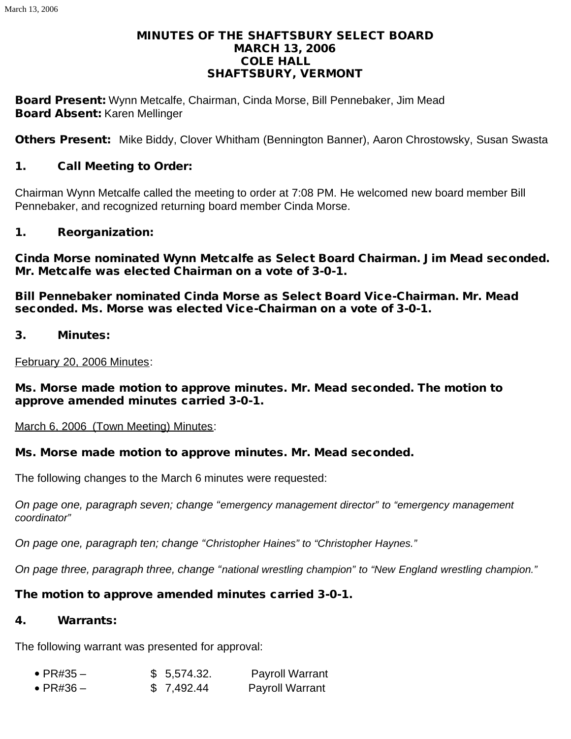#### MINUTES OF THE SHAFTSBURY SELECT BOARD MARCH 13, 2006 COLE HALL SHAFTSBURY, VERMONT

Board Present: Wynn Metcalfe, Chairman, Cinda Morse, Bill Pennebaker, Jim Mead Board Absent: Karen Mellinger

Others Present: Mike Biddy, Clover Whitham (Bennington Banner), Aaron Chrostowsky, Susan Swasta

#### 1. Call Meeting to Order:

Chairman Wynn Metcalfe called the meeting to order at 7:08 PM. He welcomed new board member Bill Pennebaker, and recognized returning board member Cinda Morse.

#### 1. Reorganization:

Cinda Morse nominated Wynn Metcalfe as Select Board Chairman. Jim Mead seconded. Mr. Metcalfe was elected Chairman on a vote of 3-0-1.

Bill Pennebaker nominated Cinda Morse as Select Board Vice-Chairman. Mr. Mead seconded. Ms. Morse was elected Vice-Chairman on a vote of 3-0-1.

3. Minutes:

February 20, 2006 Minutes:

Ms. Morse made motion to approve minutes. Mr. Mead seconded. The motion to approve amended minutes carried 3-0-1.

March 6, 2006 (Town Meeting) Minutes:

#### Ms. Morse made motion to approve minutes. Mr. Mead seconded.

The following changes to the March 6 minutes were requested:

*On page one, paragraph seven; change "emergency management director" to "emergency management coordinator"*

*On page one, paragraph ten; change "Christopher Haines" to "Christopher Haynes."*

*On page three, paragraph three, change "national wrestling champion" to "New England wrestling champion."*

#### The motion to approve amended minutes carried 3-0-1.

#### 4. Warrants:

The following warrant was presented for approval:

| $\bullet$ PR#35 $-$ | \$5,574.32. | <b>Payroll Warrant</b> |
|---------------------|-------------|------------------------|
| $\bullet$ PR#36 –   | \$7,492.44  | <b>Payroll Warrant</b> |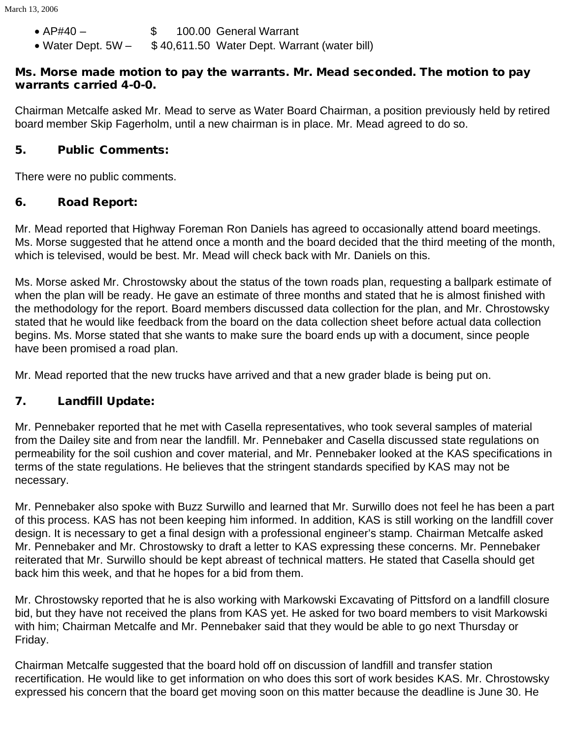- · AP#40 \$ 100.00 General Warrant
- Water Dept. 5W \$40,611.50 Water Dept. Warrant (water bill)

#### Ms. Morse made motion to pay the warrants. Mr. Mead seconded. The motion to pay warrants carried 4-0-0.

Chairman Metcalfe asked Mr. Mead to serve as Water Board Chairman, a position previously held by retired board member Skip Fagerholm, until a new chairman is in place. Mr. Mead agreed to do so.

### 5. Public Comments:

There were no public comments.

# 6. Road Report:

Mr. Mead reported that Highway Foreman Ron Daniels has agreed to occasionally attend board meetings. Ms. Morse suggested that he attend once a month and the board decided that the third meeting of the month, which is televised, would be best. Mr. Mead will check back with Mr. Daniels on this.

Ms. Morse asked Mr. Chrostowsky about the status of the town roads plan, requesting a ballpark estimate of when the plan will be ready. He gave an estimate of three months and stated that he is almost finished with the methodology for the report. Board members discussed data collection for the plan, and Mr. Chrostowsky stated that he would like feedback from the board on the data collection sheet before actual data collection begins. Ms. Morse stated that she wants to make sure the board ends up with a document, since people have been promised a road plan.

Mr. Mead reported that the new trucks have arrived and that a new grader blade is being put on.

# 7. Landfill Update:

Mr. Pennebaker reported that he met with Casella representatives, who took several samples of material from the Dailey site and from near the landfill. Mr. Pennebaker and Casella discussed state regulations on permeability for the soil cushion and cover material, and Mr. Pennebaker looked at the KAS specifications in terms of the state regulations. He believes that the stringent standards specified by KAS may not be necessary.

Mr. Pennebaker also spoke with Buzz Surwillo and learned that Mr. Surwillo does not feel he has been a part of this process. KAS has not been keeping him informed. In addition, KAS is still working on the landfill cover design. It is necessary to get a final design with a professional engineer's stamp. Chairman Metcalfe asked Mr. Pennebaker and Mr. Chrostowsky to draft a letter to KAS expressing these concerns. Mr. Pennebaker reiterated that Mr. Surwillo should be kept abreast of technical matters. He stated that Casella should get back him this week, and that he hopes for a bid from them.

Mr. Chrostowsky reported that he is also working with Markowski Excavating of Pittsford on a landfill closure bid, but they have not received the plans from KAS yet. He asked for two board members to visit Markowski with him; Chairman Metcalfe and Mr. Pennebaker said that they would be able to go next Thursday or Friday.

Chairman Metcalfe suggested that the board hold off on discussion of landfill and transfer station recertification. He would like to get information on who does this sort of work besides KAS. Mr. Chrostowsky expressed his concern that the board get moving soon on this matter because the deadline is June 30. He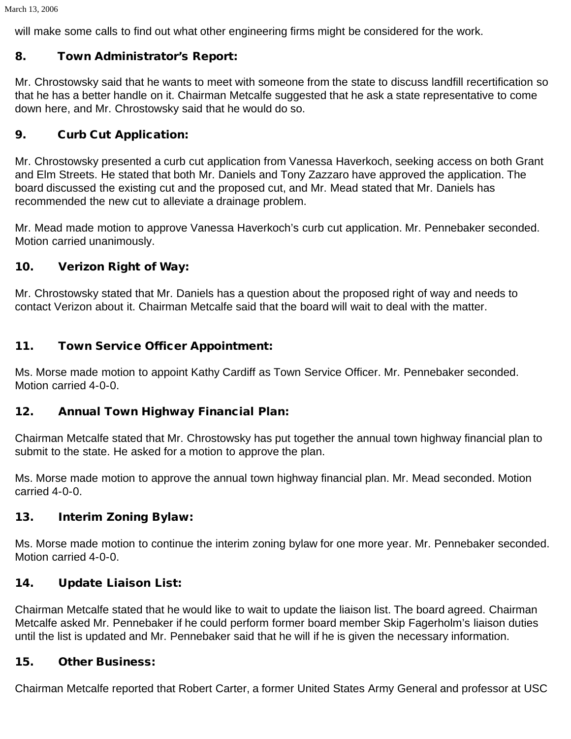will make some calls to find out what other engineering firms might be considered for the work.

# 8. Town Administrator's Report:

Mr. Chrostowsky said that he wants to meet with someone from the state to discuss landfill recertification so that he has a better handle on it. Chairman Metcalfe suggested that he ask a state representative to come down here, and Mr. Chrostowsky said that he would do so.

# 9. Curb Cut Application:

Mr. Chrostowsky presented a curb cut application from Vanessa Haverkoch, seeking access on both Grant and Elm Streets. He stated that both Mr. Daniels and Tony Zazzaro have approved the application. The board discussed the existing cut and the proposed cut, and Mr. Mead stated that Mr. Daniels has recommended the new cut to alleviate a drainage problem.

Mr. Mead made motion to approve Vanessa Haverkoch's curb cut application. Mr. Pennebaker seconded. Motion carried unanimously.

# 10. Verizon Right of Way:

Mr. Chrostowsky stated that Mr. Daniels has a question about the proposed right of way and needs to contact Verizon about it. Chairman Metcalfe said that the board will wait to deal with the matter.

### 11. Town Service Officer Appointment:

Ms. Morse made motion to appoint Kathy Cardiff as Town Service Officer. Mr. Pennebaker seconded. Motion carried 4-0-0.

# 12. Annual Town Highway Financial Plan:

Chairman Metcalfe stated that Mr. Chrostowsky has put together the annual town highway financial plan to submit to the state. He asked for a motion to approve the plan.

Ms. Morse made motion to approve the annual town highway financial plan. Mr. Mead seconded. Motion carried 4-0-0.

# 13. Interim Zoning Bylaw:

Ms. Morse made motion to continue the interim zoning bylaw for one more year. Mr. Pennebaker seconded. Motion carried 4-0-0.

# 14. Update Liaison List:

Chairman Metcalfe stated that he would like to wait to update the liaison list. The board agreed. Chairman Metcalfe asked Mr. Pennebaker if he could perform former board member Skip Fagerholm's liaison duties until the list is updated and Mr. Pennebaker said that he will if he is given the necessary information.

#### 15. Other Business:

Chairman Metcalfe reported that Robert Carter, a former United States Army General and professor at USC